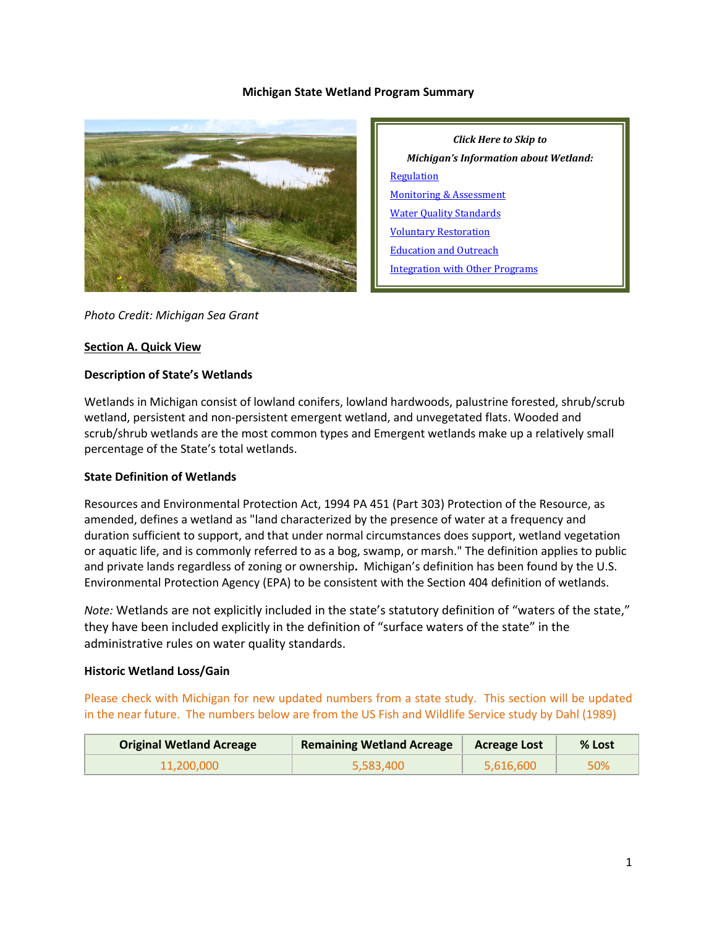#### **Michigan State Wetland Program Summary**



*Click Here to Skip to Michigan's Information about Wetland:* **[Regulation](#page-2-0)** [Monitoring & Assessment](#page-7-0) [Water Quality Standards](#page-9-0) [Voluntary Restoration](#page-9-1) [Education and Outreach](#page-11-0) [Integration with Other Programs](#page-11-1)

#### *Photo Credit: Michigan Sea Grant*

#### **Section A. Quick View**

#### **Description of State's Wetlands**

Wetlands in Michigan consist of lowland conifers, lowland hardwoods, palustrine forested, shrub/scrub wetland, persistent and non-persistent emergent wetland, and unvegetated flats. Wooded and scrub/shrub wetlands are the most common types and Emergent wetlands make up a relatively small percentage of the State's total wetlands.

#### **State Definition of Wetlands**

Resources and Environmental Protection Act, 1994 PA 451 (Part 303) Protection of the Resource, as amended, defines a wetland as "land characterized by the presence of water at a frequency and duration sufficient to support, and that under normal circumstances does support, wetland vegetation or aquatic life, and is commonly referred to as a bog, swamp, or marsh." The definition applies to public and private lands regardless of zoning or ownership**.** Michigan's definition has been found by the U.S. Environmental Protection Agency (EPA) to be consistent with the Section 404 definition of wetlands.

*Note:* Wetlands are not explicitly included in the state's statutory definition of "waters of the state," they have been included explicitly in the definition of "surface waters of the state" in the administrative rules on water quality standards.

### **Historic Wetland Loss/Gain**

Please check with Michigan for new updated numbers from a state study. This section will be updated in the near future. The numbers below are from the US Fish and Wildlife Service study by Dahl (1989)

| <b>Original Wetland Acreage</b> | <b>Remaining Wetland Acreage</b> | <b>Acreage Lost</b> | % Lost |
|---------------------------------|----------------------------------|---------------------|--------|
| 11.200.000                      | 5,583,400                        | 5,616,600           | 50%    |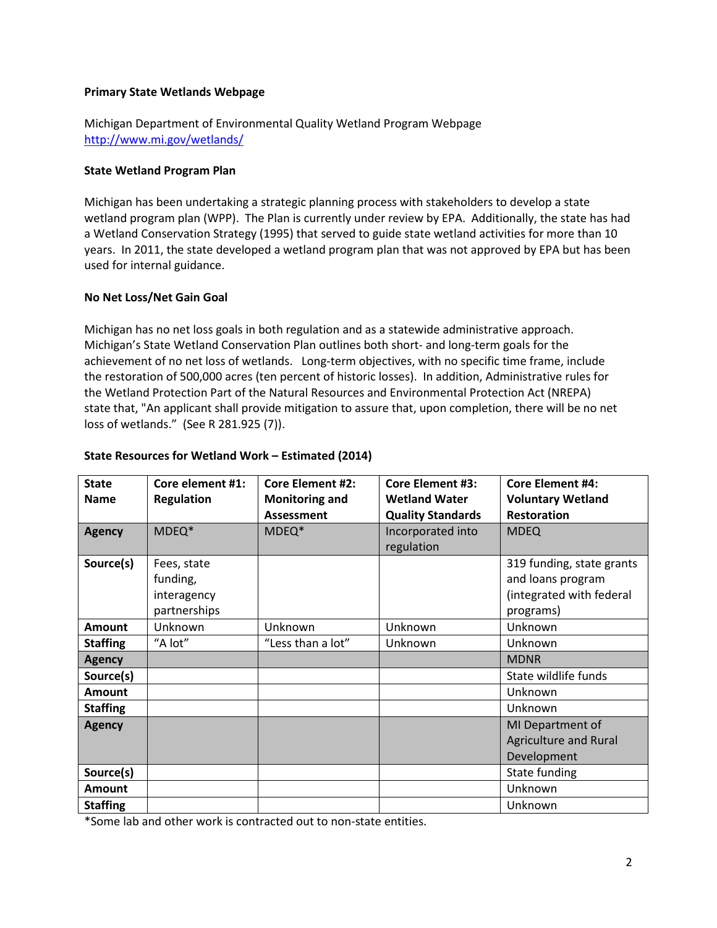#### **Primary State Wetlands Webpage**

Michigan Department of Environmental Quality Wetland Program Webpage <http://www.mi.gov/wetlands/>

#### **State Wetland Program Plan**

Michigan has been undertaking a strategic planning process with stakeholders to develop a state wetland program plan (WPP). The Plan is currently under review by EPA. Additionally, the state has had a Wetland Conservation Strategy (1995) that served to guide state wetland activities for more than 10 years. In 2011, the state developed a wetland program plan that was not approved by EPA but has been used for internal guidance.

#### **No Net Loss/Net Gain Goal**

Michigan has no net loss goals in both regulation and as a statewide administrative approach. Michigan's State Wetland Conservation Plan outlines both short- and long-term goals for the achievement of no net loss of wetlands. Long-term objectives, with no specific time frame, include the restoration of 500,000 acres (ten percent of historic losses). In addition, Administrative rules for the Wetland Protection Part of the Natural Resources and Environmental Protection Act (NREPA) state that, "An applicant shall provide mitigation to assure that, upon completion, there will be no net loss of wetlands." (See R 281.925 (7)).

| <b>State</b><br><b>Name</b> | Core element #1:<br><b>Regulation</b>                                                                                       | <b>Core Element #2:</b><br><b>Monitoring and</b><br><b>Assessment</b> | <b>Core Element #3:</b><br><b>Wetland Water</b><br><b>Quality Standards</b> | <b>Core Element #4:</b><br><b>Voluntary Wetland</b><br><b>Restoration</b>               |
|-----------------------------|-----------------------------------------------------------------------------------------------------------------------------|-----------------------------------------------------------------------|-----------------------------------------------------------------------------|-----------------------------------------------------------------------------------------|
| <b>Agency</b>               | MDEQ*                                                                                                                       | MDEQ*                                                                 | Incorporated into<br>regulation                                             | <b>MDEQ</b>                                                                             |
| Source(s)                   | Fees, state<br>funding,<br>interagency<br>partnerships                                                                      |                                                                       |                                                                             | 319 funding, state grants<br>and loans program<br>(integrated with federal<br>programs) |
| <b>Amount</b>               | Unknown                                                                                                                     | Unknown                                                               | Unknown                                                                     | Unknown                                                                                 |
| <b>Staffing</b>             | "A lot"                                                                                                                     | "Less than a lot"                                                     | Unknown                                                                     | Unknown                                                                                 |
| <b>Agency</b>               |                                                                                                                             |                                                                       |                                                                             | <b>MDNR</b>                                                                             |
| Source(s)                   |                                                                                                                             |                                                                       |                                                                             | State wildlife funds                                                                    |
| <b>Amount</b>               |                                                                                                                             |                                                                       |                                                                             | Unknown                                                                                 |
| <b>Staffing</b>             |                                                                                                                             |                                                                       |                                                                             | Unknown                                                                                 |
| <b>Agency</b>               |                                                                                                                             |                                                                       |                                                                             | MI Department of<br><b>Agriculture and Rural</b><br>Development                         |
| Source(s)                   |                                                                                                                             |                                                                       |                                                                             | State funding                                                                           |
| <b>Amount</b>               |                                                                                                                             |                                                                       |                                                                             | Unknown                                                                                 |
| <b>Staffing</b>             | the contract of the contract of the contract of the contract of the contract of the contract of the contract of<br>$\cdots$ | $\sim$ $\sim$ $\sim$                                                  |                                                                             | Unknown                                                                                 |

#### **State Resources for Wetland Work – Estimated (2014)**

\*Some lab and other work is contracted out to non-state entities.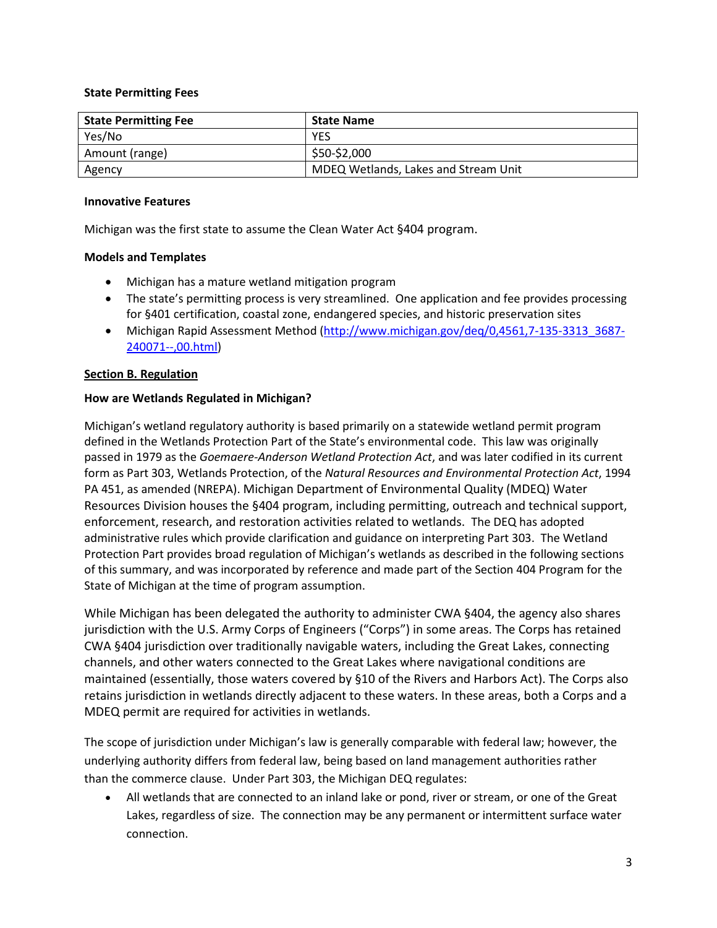### **State Permitting Fees**

| <b>State Permitting Fee</b> | <b>State Name</b>                    |
|-----------------------------|--------------------------------------|
| Yes/No                      | <b>YES</b>                           |
| Amount (range)              | \$50-\$2,000                         |
| Agency                      | MDEQ Wetlands, Lakes and Stream Unit |

#### **Innovative Features**

Michigan was the first state to assume the Clean Water Act §404 program.

### **Models and Templates**

- Michigan has a mature wetland mitigation program
- The state's permitting process is very streamlined. One application and fee provides processing for §401 certification, coastal zone, endangered species, and historic preservation sites
- Michigan Rapid Assessment Method (http://www.michigan.gov/deq/0,4561,7-135-3313 3687-[240071--,00.html\)](http://www.michigan.gov/deq/0,4561,7-135-3313_3687-240071--,00.html)

## <span id="page-2-0"></span>**Section B. Regulation**

### **How are Wetlands Regulated in Michigan?**

Michigan's wetland regulatory authority is based primarily on a statewide wetland permit program defined in the Wetlands Protection Part of the State's environmental code. This law was originally passed in 1979 as the *Goemaere-Anderson Wetland Protection Act*, and was later codified in its current form as Part 303, Wetlands Protection, of the *Natural Resources and Environmental Protection Act*, 1994 PA 451, as amended (NREPA). Michigan Department of Environmental Quality (MDEQ) Water Resources Division houses the §404 program, including permitting, outreach and technical support, enforcement, research, and restoration activities related to wetlands. The DEQ has adopted administrative rules which provide clarification and guidance on interpreting Part 303. The Wetland Protection Part provides broad regulation of Michigan's wetlands as described in the following sections of this summary, and was incorporated by reference and made part of the Section 404 Program for the State of Michigan at the time of program assumption.

While Michigan has been delegated the authority to administer CWA §404, the agency also shares jurisdiction with the U.S. Army Corps of Engineers ("Corps") in some areas. The Corps has retained CWA §404 jurisdiction over traditionally navigable waters, including the Great Lakes, connecting channels, and other waters connected to the Great Lakes where navigational conditions are maintained (essentially, those waters covered by §10 of the Rivers and Harbors Act). The Corps also retains jurisdiction in wetlands directly adjacent to these waters. In these areas, both a Corps and a MDEQ permit are required for activities in wetlands.

The scope of jurisdiction under Michigan's law is generally comparable with federal law; however, the underlying authority differs from federal law, being based on land management authorities rather than the commerce clause. Under Part 303, the Michigan DEQ regulates:

• All wetlands that are connected to an inland lake or pond, river or stream, or one of the Great Lakes, regardless of size. The connection may be any permanent or intermittent surface water connection.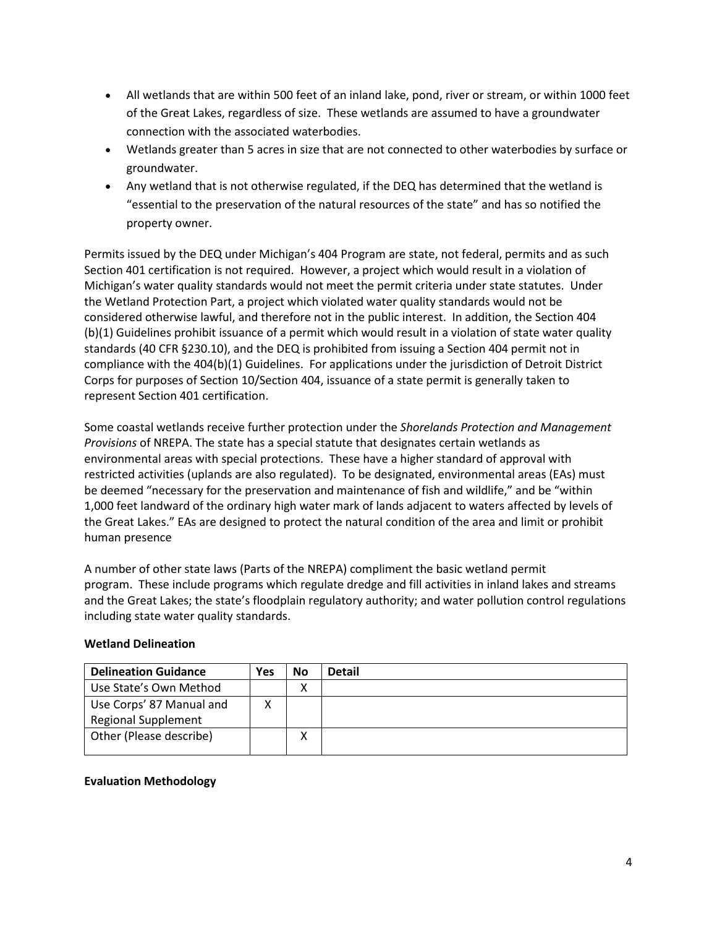- All wetlands that are within 500 feet of an inland lake, pond, river or stream, or within 1000 feet of the Great Lakes, regardless of size. These wetlands are assumed to have a groundwater connection with the associated waterbodies.
- Wetlands greater than 5 acres in size that are not connected to other waterbodies by surface or groundwater.
- Any wetland that is not otherwise regulated, if the DEQ has determined that the wetland is "essential to the preservation of the natural resources of the state" and has so notified the property owner.

Permits issued by the DEQ under Michigan's 404 Program are state, not federal, permits and as such Section 401 certification is not required. However, a project which would result in a violation of Michigan's water quality standards would not meet the permit criteria under state statutes. Under the Wetland Protection Part, a project which violated water quality standards would not be considered otherwise lawful, and therefore not in the public interest. In addition, the Section 404 (b)(1) Guidelines prohibit issuance of a permit which would result in a violation of state water quality standards (40 CFR §230.10), and the DEQ is prohibited from issuing a Section 404 permit not in compliance with the 404(b)(1) Guidelines. For applications under the jurisdiction of Detroit District Corps for purposes of Section 10/Section 404, issuance of a state permit is generally taken to represent Section 401 certification.

Some coastal wetlands receive further protection under the *Shorelands Protection and Management Provisions* of NREPA. The state has a special statute that designates certain wetlands as environmental areas with special protections. These have a higher standard of approval with restricted activities (uplands are also regulated). To be designated, environmental areas (EAs) must be deemed "necessary for the preservation and maintenance of fish and wildlife," and be "within 1,000 feet landward of the ordinary high water mark of lands adjacent to waters affected by levels of the Great Lakes." EAs are designed to protect the natural condition of the area and limit or prohibit human presence

A number of other state laws (Parts of the NREPA) compliment the basic wetland permit program. These include programs which regulate dredge and fill activities in inland lakes and streams and the Great Lakes; the state's floodplain regulatory authority; and water pollution control regulations including state water quality standards.

### **Wetland Delineation**

| <b>Delineation Guidance</b> | Yes | No | <b>Detail</b> |
|-----------------------------|-----|----|---------------|
| Use State's Own Method      |     | х  |               |
| Use Corps' 87 Manual and    |     |    |               |
| <b>Regional Supplement</b>  |     |    |               |
| Other (Please describe)     |     | v  |               |
|                             |     |    |               |

### **Evaluation Methodology**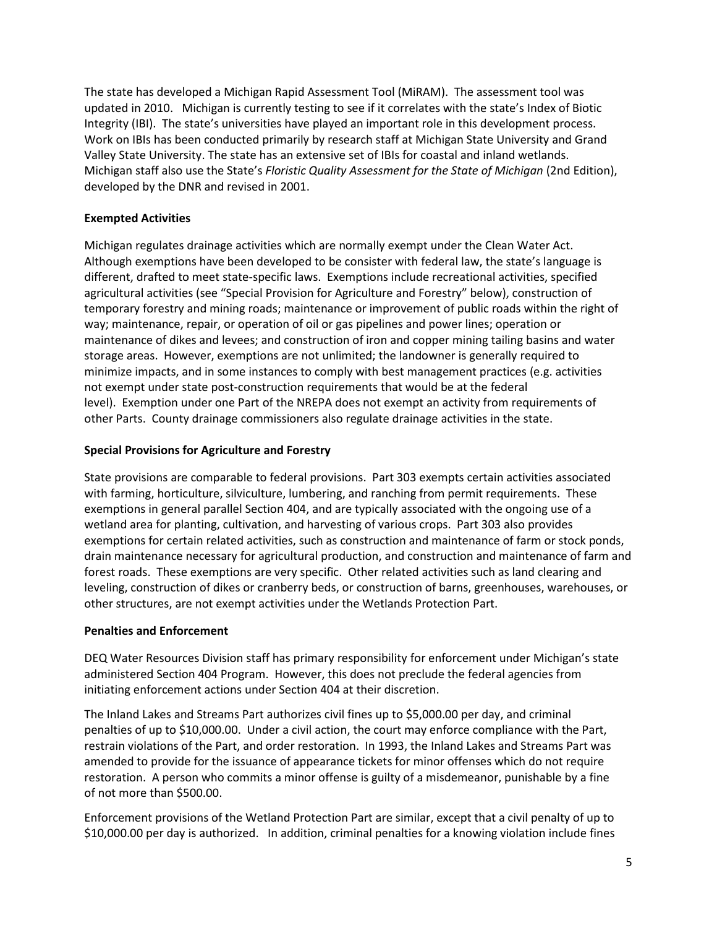The state has developed a Michigan Rapid Assessment Tool (MiRAM). The assessment tool was updated in 2010. Michigan is currently testing to see if it correlates with the state's Index of Biotic Integrity (IBI). The state's universities have played an important role in this development process. Work on IBIs has been conducted primarily by research staff at Michigan State University and Grand Valley State University. The state has an extensive set of IBIs for coastal and inland wetlands. Michigan staff also use the State's *Floristic Quality Assessment for the State of Michigan* (2nd Edition), developed by the DNR and revised in 2001.

### **Exempted Activities**

Michigan regulates drainage activities which are normally exempt under the Clean Water Act. Although exemptions have been developed to be consister with federal law, the state's language is different, drafted to meet state-specific laws. Exemptions include recreational activities, specified agricultural activities (see "Special Provision for Agriculture and Forestry" below), construction of temporary forestry and mining roads; maintenance or improvement of public roads within the right of way; maintenance, repair, or operation of oil or gas pipelines and power lines; operation or maintenance of dikes and levees; and construction of iron and copper mining tailing basins and water storage areas. However, exemptions are not unlimited; the landowner is generally required to minimize impacts, and in some instances to comply with best management practices (e.g. activities not exempt under state post-construction requirements that would be at the federal level). Exemption under one Part of the NREPA does not exempt an activity from requirements of other Parts. County drainage commissioners also regulate drainage activities in the state.

## **Special Provisions for Agriculture and Forestry**

State provisions are comparable to federal provisions. Part 303 exempts certain activities associated with farming, horticulture, silviculture, lumbering, and ranching from permit requirements. These exemptions in general parallel Section 404, and are typically associated with the ongoing use of a wetland area for planting, cultivation, and harvesting of various crops. Part 303 also provides exemptions for certain related activities, such as construction and maintenance of farm or stock ponds, drain maintenance necessary for agricultural production, and construction and maintenance of farm and forest roads. These exemptions are very specific. Other related activities such as land clearing and leveling, construction of dikes or cranberry beds, or construction of barns, greenhouses, warehouses, or other structures, are not exempt activities under the Wetlands Protection Part.

### **Penalties and Enforcement**

DEQ Water Resources Division staff has primary responsibility for enforcement under Michigan's state administered Section 404 Program. However, this does not preclude the federal agencies from initiating enforcement actions under Section 404 at their discretion.

The Inland Lakes and Streams Part authorizes civil fines up to \$5,000.00 per day, and criminal penalties of up to \$10,000.00. Under a civil action, the court may enforce compliance with the Part, restrain violations of the Part, and order restoration. In 1993, the Inland Lakes and Streams Part was amended to provide for the issuance of appearance tickets for minor offenses which do not require restoration. A person who commits a minor offense is guilty of a misdemeanor, punishable by a fine of not more than \$500.00.

Enforcement provisions of the Wetland Protection Part are similar, except that a civil penalty of up to \$10,000.00 per day is authorized. In addition, criminal penalties for a knowing violation include fines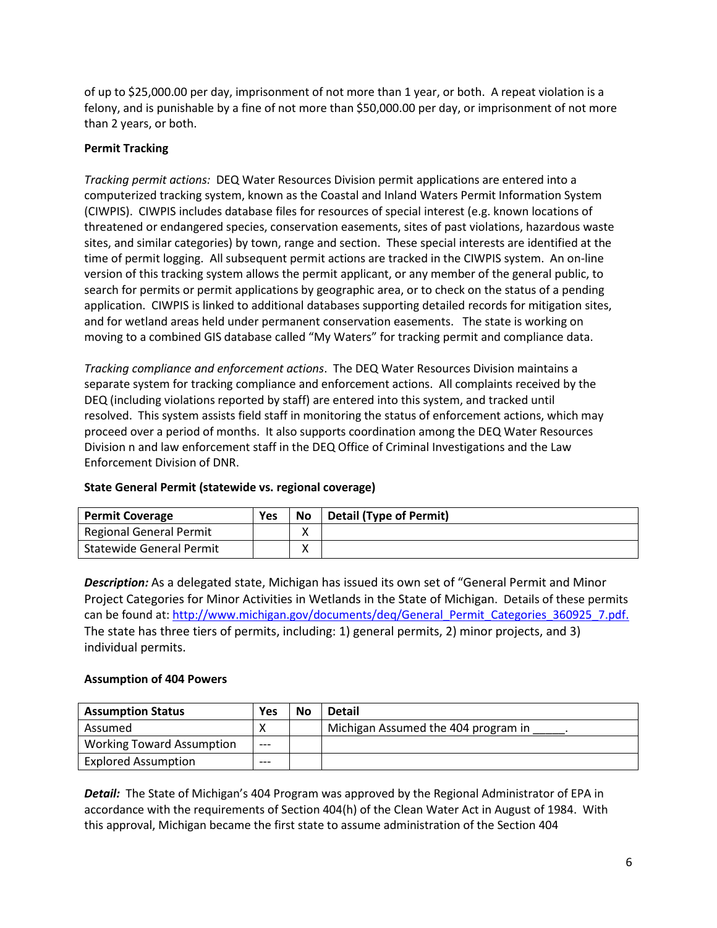of up to \$25,000.00 per day, imprisonment of not more than 1 year, or both. A repeat violation is a felony, and is punishable by a fine of not more than \$50,000.00 per day, or imprisonment of not more than 2 years, or both.

# **Permit Tracking**

*Tracking permit actions:* DEQ Water Resources Division permit applications are entered into a computerized tracking system, known as the Coastal and Inland Waters Permit Information System (CIWPIS). CIWPIS includes database files for resources of special interest (e.g. known locations of threatened or endangered species, conservation easements, sites of past violations, hazardous waste sites, and similar categories) by town, range and section. These special interests are identified at the time of permit logging. All subsequent permit actions are tracked in the CIWPIS system. An on-line version of this tracking system allows the permit applicant, or any member of the general public, to search for permits or permit applications by geographic area, or to check on the status of a pending application. CIWPIS is linked to additional databases supporting detailed records for mitigation sites, and for wetland areas held under permanent conservation easements. The state is working on moving to a combined GIS database called "My Waters" for tracking permit and compliance data.

*Tracking compliance and enforcement actions*. The DEQ Water Resources Division maintains a separate system for tracking compliance and enforcement actions. All complaints received by the DEQ (including violations reported by staff) are entered into this system, and tracked until resolved. This system assists field staff in monitoring the status of enforcement actions, which may proceed over a period of months. It also supports coordination among the DEQ Water Resources Division n and law enforcement staff in the DEQ Office of Criminal Investigations and the Law Enforcement Division of DNR.

| <b>Permit Coverage</b>          | Yes | No | <b>Detail (Type of Permit)</b> |
|---------------------------------|-----|----|--------------------------------|
| <b>Regional General Permit</b>  |     | Λ  |                                |
| <b>Statewide General Permit</b> |     |    |                                |

### **State General Permit (statewide vs. regional coverage)**

*Description:* As a delegated state, Michigan has issued its own set of "General Permit and Minor Project Categories for Minor Activities in Wetlands in the State of Michigan. Details of these permits can be found at: [http://www.michigan.gov/documents/deq/General\\_Permit\\_Categories\\_360925\\_7.pdf.](http://www.michigan.gov/documents/deq/General_Permit_Categories_360925_7.pdf) The state has three tiers of permits, including: 1) general permits, 2) minor projects, and 3) individual permits.

## **Assumption of 404 Powers**

| <b>Assumption Status</b>         | Yes     | <b>No</b> | <b>Detail</b>                       |
|----------------------------------|---------|-----------|-------------------------------------|
| Assumed                          |         |           | Michigan Assumed the 404 program in |
| <b>Working Toward Assumption</b> | $---$   |           |                                     |
| <b>Explored Assumption</b>       | $- - -$ |           |                                     |

*Detail:* The State of Michigan's 404 Program was approved by the Regional Administrator of EPA in accordance with the requirements of Section 404(h) of the Clean Water Act in August of 1984. With this approval, Michigan became the first state to assume administration of the Section 404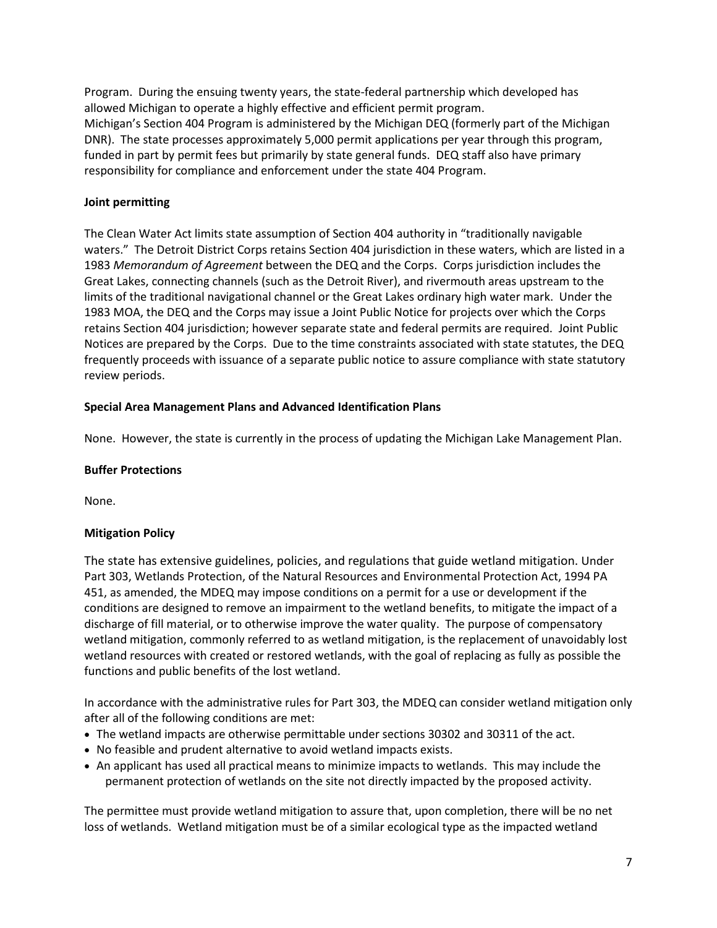Program. During the ensuing twenty years, the state-federal partnership which developed has allowed Michigan to operate a highly effective and efficient permit program. Michigan's Section 404 Program is administered by the Michigan DEQ (formerly part of the Michigan DNR). The state processes approximately 5,000 permit applications per year through this program, funded in part by permit fees but primarily by state general funds. DEQ staff also have primary responsibility for compliance and enforcement under the state 404 Program.

## **Joint permitting**

The Clean Water Act limits state assumption of Section 404 authority in "traditionally navigable waters." The Detroit District Corps retains Section 404 jurisdiction in these waters, which are listed in a 1983 *Memorandum of Agreement* between the DEQ and the Corps. Corps jurisdiction includes the Great Lakes, connecting channels (such as the Detroit River), and rivermouth areas upstream to the limits of the traditional navigational channel or the Great Lakes ordinary high water mark. Under the 1983 MOA, the DEQ and the Corps may issue a Joint Public Notice for projects over which the Corps retains Section 404 jurisdiction; however separate state and federal permits are required. Joint Public Notices are prepared by the Corps. Due to the time constraints associated with state statutes, the DEQ frequently proceeds with issuance of a separate public notice to assure compliance with state statutory review periods.

## **Special Area Management Plans and Advanced Identification Plans**

None. However, the state is currently in the process of updating the Michigan Lake Management Plan.

### **Buffer Protections**

None.

### **Mitigation Policy**

The state has extensive guidelines, policies, and regulations that guide wetland mitigation. Under Part 303, Wetlands Protection, of the Natural Resources and Environmental Protection Act, 1994 PA 451, as amended, the MDEQ may impose conditions on a permit for a use or development if the conditions are designed to remove an impairment to the wetland benefits, to mitigate the impact of a discharge of fill material, or to otherwise improve the water quality. The purpose of compensatory wetland mitigation, commonly referred to as wetland mitigation, is the replacement of unavoidably lost wetland resources with created or restored wetlands, with the goal of replacing as fully as possible the functions and public benefits of the lost wetland.

In accordance with the administrative rules for Part 303, the MDEQ can consider wetland mitigation only after all of the following conditions are met:

- The wetland impacts are otherwise permittable under sections 30302 and 30311 of the act.
- No feasible and prudent alternative to avoid wetland impacts exists.
- An applicant has used all practical means to minimize impacts to wetlands. This may include the permanent protection of wetlands on the site not directly impacted by the proposed activity.

The permittee must provide wetland mitigation to assure that, upon completion, there will be no net loss of wetlands. Wetland mitigation must be of a similar ecological type as the impacted wetland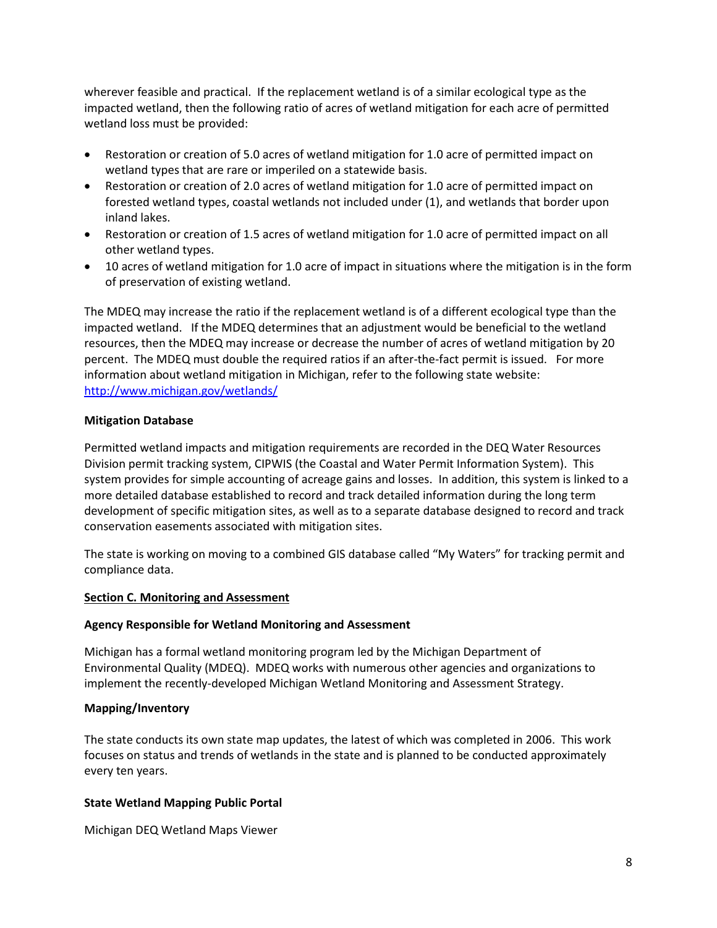wherever feasible and practical. If the replacement wetland is of a similar ecological type as the impacted wetland, then the following ratio of acres of wetland mitigation for each acre of permitted wetland loss must be provided:

- Restoration or creation of 5.0 acres of wetland mitigation for 1.0 acre of permitted impact on wetland types that are rare or imperiled on a statewide basis.
- Restoration or creation of 2.0 acres of wetland mitigation for 1.0 acre of permitted impact on forested wetland types, coastal wetlands not included under (1), and wetlands that border upon inland lakes.
- Restoration or creation of 1.5 acres of wetland mitigation for 1.0 acre of permitted impact on all other wetland types.
- 10 acres of wetland mitigation for 1.0 acre of impact in situations where the mitigation is in the form of preservation of existing wetland.

The MDEQ may increase the ratio if the replacement wetland is of a different ecological type than the impacted wetland. If the MDEQ determines that an adjustment would be beneficial to the wetland resources, then the MDEQ may increase or decrease the number of acres of wetland mitigation by 20 percent. The MDEQ must double the required ratios if an after-the-fact permit is issued. For more information about wetland mitigation in Michigan, refer to the following state website: <http://www.michigan.gov/wetlands/>

### **Mitigation Database**

Permitted wetland impacts and mitigation requirements are recorded in the DEQ Water Resources Division permit tracking system, CIPWIS (the Coastal and Water Permit Information System). This system provides for simple accounting of acreage gains and losses. In addition, this system is linked to a more detailed database established to record and track detailed information during the long term development of specific mitigation sites, as well as to a separate database designed to record and track conservation easements associated with mitigation sites.

The state is working on moving to a combined GIS database called "My Waters" for tracking permit and compliance data.

### <span id="page-7-0"></span>**Section C. Monitoring and Assessment**

### **Agency Responsible for Wetland Monitoring and Assessment**

Michigan has a formal wetland monitoring program led by the Michigan Department of Environmental Quality (MDEQ). MDEQ works with numerous other agencies and organizations to implement the recently-developed Michigan Wetland Monitoring and Assessment Strategy.

### **Mapping/Inventory**

The state conducts its own state map updates, the latest of which was completed in 2006. This work focuses on status and trends of wetlands in the state and is planned to be conducted approximately every ten years.

### **State Wetland Mapping Public Portal**

Michigan DEQ Wetland Maps Viewer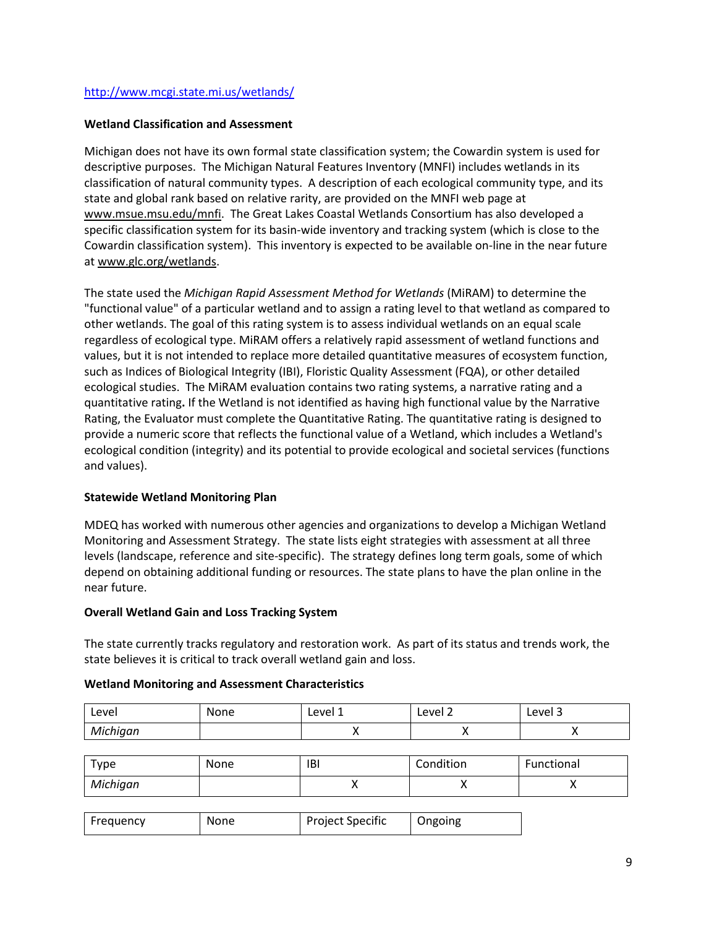### <http://www.mcgi.state.mi.us/wetlands/>

### **Wetland Classification and Assessment**

Michigan does not have its own formal state classification system; the Cowardin system is used for descriptive purposes. The Michigan Natural Features Inventory (MNFI) includes wetlands in its classification of natural community types. A description of each ecological community type, and its state and global rank based on relative rarity, are provided on the MNFI web page at [www.msue.msu.edu/mnfi.](http://www.msue.msu.edu/mnfi) The Great Lakes Coastal Wetlands Consortium has also developed a specific classification system for its basin-wide inventory and tracking system (which is close to the Cowardin classification system). This inventory is expected to be available on-line in the near future at [www.glc.org/wetlands.](http://www.glc.org/wetlands)

The state used the *Michigan Rapid Assessment Method for Wetlands* (MiRAM) to determine the "functional value" of a particular wetland and to assign a rating level to that wetland as compared to other wetlands. The goal of this rating system is to assess individual wetlands on an equal scale regardless of ecological type. MiRAM offers a relatively rapid assessment of wetland functions and values, but it is not intended to replace more detailed quantitative measures of ecosystem function, such as Indices of Biological Integrity (IBI), Floristic Quality Assessment (FQA), or other detailed ecological studies. The MiRAM evaluation contains two rating systems, a narrative rating and a quantitative rating**.** If the Wetland is not identified as having high functional value by the Narrative Rating, the Evaluator must complete the Quantitative Rating. The quantitative rating is designed to provide a numeric score that reflects the functional value of a Wetland, which includes a Wetland's ecological condition (integrity) and its potential to provide ecological and societal services (functions and values).

### **Statewide Wetland Monitoring Plan**

MDEQ has worked with numerous other agencies and organizations to develop a Michigan Wetland Monitoring and Assessment Strategy. The state lists eight strategies with assessment at all three levels (landscape, reference and site-specific). The strategy defines long term goals, some of which depend on obtaining additional funding or resources. The state plans to have the plan online in the near future.

#### **Overall Wetland Gain and Loss Tracking System**

The state currently tracks regulatory and restoration work. As part of its status and trends work, the state believes it is critical to track overall wetland gain and loss.

#### **Wetland Monitoring and Assessment Characteristics**

| Level    | None | Level 1 | Level 2 | -<br>Level 3 |
|----------|------|---------|---------|--------------|
| Michigan |      |         | . .     |              |

| $\tau$ ype | None | IBI | Condition | Functional |
|------------|------|-----|-----------|------------|
| Michigan   |      |     | ,,        |            |

| Frequency | None | <b>Project Specific</b> | Ongoing |
|-----------|------|-------------------------|---------|
|-----------|------|-------------------------|---------|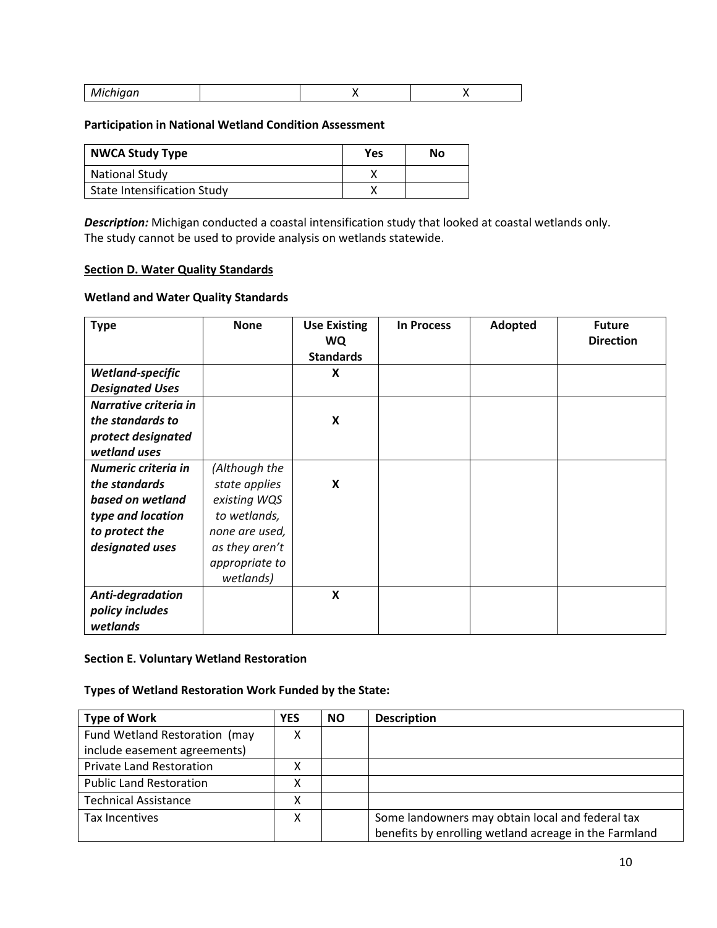| aan<br><b>IVIICHIY</b> |  |
|------------------------|--|
|------------------------|--|

#### **Participation in National Wetland Condition Assessment**

| <b>NWCA Study Type</b>             | Yes | No |
|------------------------------------|-----|----|
| <b>National Study</b>              |     |    |
| <b>State Intensification Study</b> |     |    |

*Description:* Michigan conducted a coastal intensification study that looked at coastal wetlands only. The study cannot be used to provide analysis on wetlands statewide.

#### <span id="page-9-0"></span>**Section D. Water Quality Standards**

### **Wetland and Water Quality Standards**

| <b>Type</b>            | <b>None</b>    | <b>Use Existing</b><br><b>WQ</b><br><b>Standards</b> | <b>In Process</b> | Adopted | <b>Future</b><br><b>Direction</b> |
|------------------------|----------------|------------------------------------------------------|-------------------|---------|-----------------------------------|
| Wetland-specific       |                | X                                                    |                   |         |                                   |
| <b>Designated Uses</b> |                |                                                      |                   |         |                                   |
| Narrative criteria in  |                |                                                      |                   |         |                                   |
| the standards to       |                | X                                                    |                   |         |                                   |
| protect designated     |                |                                                      |                   |         |                                   |
| wetland uses           |                |                                                      |                   |         |                                   |
| Numeric criteria in    | (Although the  |                                                      |                   |         |                                   |
| the standards          | state applies  | X                                                    |                   |         |                                   |
| based on wetland       | existing WQS   |                                                      |                   |         |                                   |
| type and location      | to wetlands,   |                                                      |                   |         |                                   |
| to protect the         | none are used, |                                                      |                   |         |                                   |
| designated uses        | as they aren't |                                                      |                   |         |                                   |
|                        | appropriate to |                                                      |                   |         |                                   |
|                        | wetlands)      |                                                      |                   |         |                                   |
| Anti-degradation       |                | X                                                    |                   |         |                                   |
| policy includes        |                |                                                      |                   |         |                                   |
| wetlands               |                |                                                      |                   |         |                                   |

#### <span id="page-9-1"></span>**Section E. Voluntary Wetland Restoration**

## **Types of Wetland Restoration Work Funded by the State:**

| <b>Type of Work</b>             | <b>YES</b> | <b>NO</b> | <b>Description</b>                                    |
|---------------------------------|------------|-----------|-------------------------------------------------------|
| Fund Wetland Restoration (may   | χ          |           |                                                       |
| include easement agreements)    |            |           |                                                       |
| <b>Private Land Restoration</b> | х          |           |                                                       |
| <b>Public Land Restoration</b>  | Λ          |           |                                                       |
| <b>Technical Assistance</b>     | χ          |           |                                                       |
| Tax Incentives                  | χ          |           | Some landowners may obtain local and federal tax      |
|                                 |            |           | benefits by enrolling wetland acreage in the Farmland |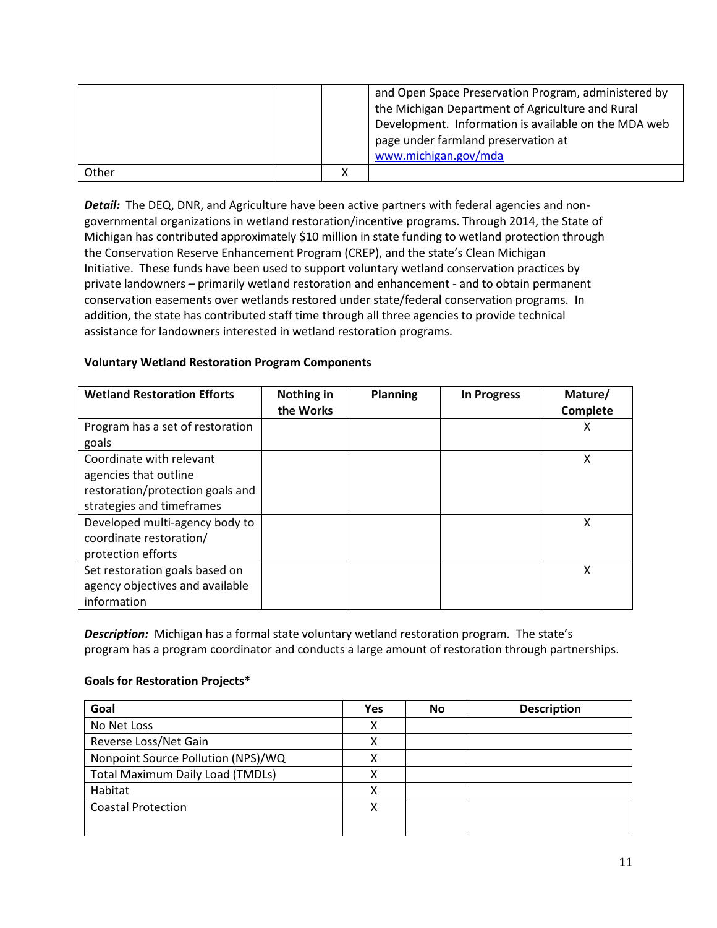|       |  | and Open Space Preservation Program, administered by<br>the Michigan Department of Agriculture and Rural<br>Development. Information is available on the MDA web<br>page under farmland preservation at<br>www.michigan.gov/mda |
|-------|--|---------------------------------------------------------------------------------------------------------------------------------------------------------------------------------------------------------------------------------|
| Other |  |                                                                                                                                                                                                                                 |

**Detail:** The DEQ, DNR, and Agriculture have been active partners with federal agencies and nongovernmental organizations in wetland restoration/incentive programs. Through 2014, the State of Michigan has contributed approximately \$10 million in state funding to wetland protection through the Conservation Reserve Enhancement Program (CREP), and the state's Clean Michigan Initiative. These funds have been used to support voluntary wetland conservation practices by private landowners – primarily wetland restoration and enhancement - and to obtain permanent conservation easements over wetlands restored under state/federal conservation programs. In addition, the state has contributed staff time through all three agencies to provide technical assistance for landowners interested in wetland restoration programs.

## **Voluntary Wetland Restoration Program Components**

| <b>Wetland Restoration Efforts</b> | Nothing in<br>the Works | <b>Planning</b> | <b>In Progress</b> | Mature/<br>Complete |
|------------------------------------|-------------------------|-----------------|--------------------|---------------------|
| Program has a set of restoration   |                         |                 |                    | х                   |
| goals                              |                         |                 |                    |                     |
| Coordinate with relevant           |                         |                 |                    | Χ                   |
| agencies that outline              |                         |                 |                    |                     |
| restoration/protection goals and   |                         |                 |                    |                     |
| strategies and timeframes          |                         |                 |                    |                     |
| Developed multi-agency body to     |                         |                 |                    | Χ                   |
| coordinate restoration/            |                         |                 |                    |                     |
| protection efforts                 |                         |                 |                    |                     |
| Set restoration goals based on     |                         |                 |                    | Χ                   |
| agency objectives and available    |                         |                 |                    |                     |
| information                        |                         |                 |                    |                     |

*Description:* Michigan has a formal state voluntary wetland restoration program. The state's program has a program coordinator and conducts a large amount of restoration through partnerships.

### **Goals for Restoration Projects\***

| Goal                                    | Yes | <b>No</b> | <b>Description</b> |
|-----------------------------------------|-----|-----------|--------------------|
| No Net Loss                             |     |           |                    |
| Reverse Loss/Net Gain                   | х   |           |                    |
| Nonpoint Source Pollution (NPS)/WQ      |     |           |                    |
| <b>Total Maximum Daily Load (TMDLs)</b> | Λ   |           |                    |
| Habitat                                 |     |           |                    |
| <b>Coastal Protection</b>               | ∧   |           |                    |
|                                         |     |           |                    |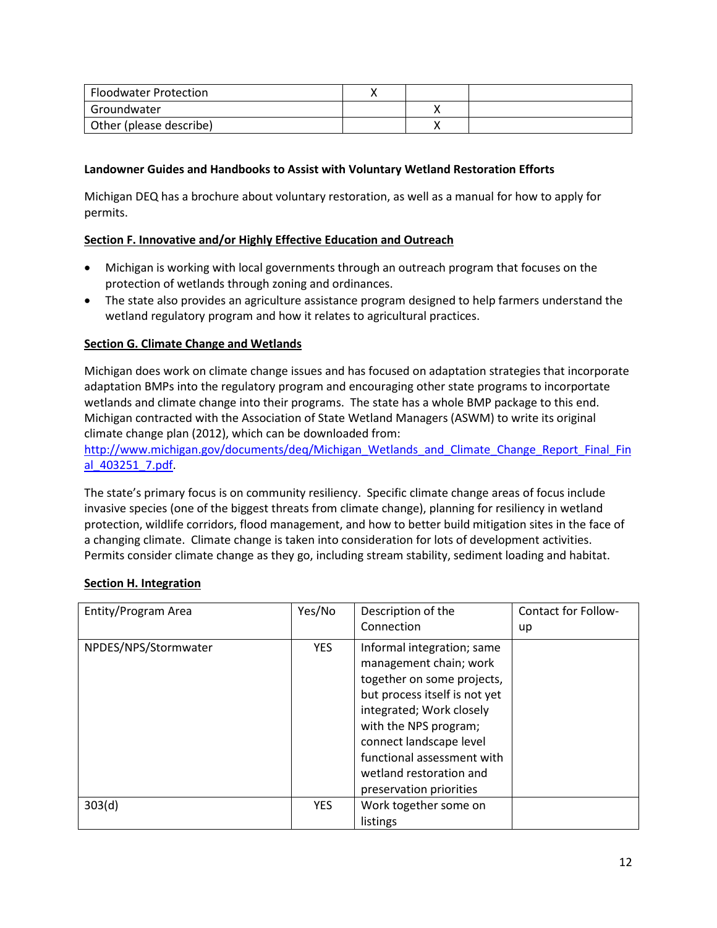| <b>Floodwater Protection</b> |  |  |
|------------------------------|--|--|
| Groundwater                  |  |  |
| Other (please describe)      |  |  |

### **Landowner Guides and Handbooks to Assist with Voluntary Wetland Restoration Efforts**

Michigan DEQ has a brochure about voluntary restoration, as well as a manual for how to apply for permits.

## <span id="page-11-0"></span>**Section F. Innovative and/or Highly Effective Education and Outreach**

- Michigan is working with local governments through an outreach program that focuses on the protection of wetlands through zoning and ordinances.
- The state also provides an agriculture assistance program designed to help farmers understand the wetland regulatory program and how it relates to agricultural practices.

## **Section G. Climate Change and Wetlands**

Michigan does work on climate change issues and has focused on adaptation strategies that incorporate adaptation BMPs into the regulatory program and encouraging other state programs to incorportate wetlands and climate change into their programs. The state has a whole BMP package to this end. Michigan contracted with the Association of State Wetland Managers (ASWM) to write its original climate change plan (2012), which can be downloaded from:

[http://www.michigan.gov/documents/deq/Michigan\\_Wetlands\\_and\\_Climate\\_Change\\_Report\\_Final\\_Fin](http://www.michigan.gov/documents/deq/Michigan_Wetlands_and_Climate_Change_Report_Final_Final_403251_7.pdf) [al\\_403251\\_7.pdf.](http://www.michigan.gov/documents/deq/Michigan_Wetlands_and_Climate_Change_Report_Final_Final_403251_7.pdf)

The state's primary focus is on community resiliency. Specific climate change areas of focus include invasive species (one of the biggest threats from climate change), planning for resiliency in wetland protection, wildlife corridors, flood management, and how to better build mitigation sites in the face of a changing climate. Climate change is taken into consideration for lots of development activities. Permits consider climate change as they go, including stream stability, sediment loading and habitat.

### <span id="page-11-1"></span>**Section H. Integration**

| Entity/Program Area  | Yes/No     | Description of the            | Contact for Follow- |
|----------------------|------------|-------------------------------|---------------------|
|                      |            | Connection                    | up                  |
| NPDES/NPS/Stormwater | <b>YES</b> | Informal integration; same    |                     |
|                      |            | management chain; work        |                     |
|                      |            | together on some projects,    |                     |
|                      |            | but process itself is not yet |                     |
|                      |            | integrated; Work closely      |                     |
|                      |            | with the NPS program;         |                     |
|                      |            | connect landscape level       |                     |
|                      |            | functional assessment with    |                     |
|                      |            | wetland restoration and       |                     |
|                      |            | preservation priorities       |                     |
| 303(d)               | <b>YES</b> | Work together some on         |                     |
|                      |            | listings                      |                     |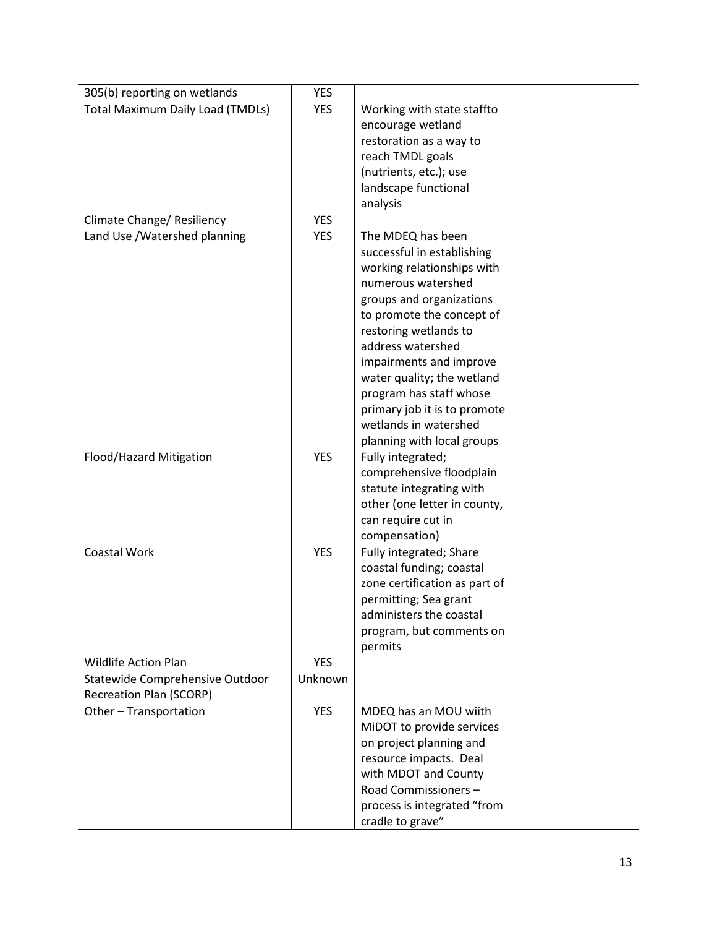| 305(b) reporting on wetlands            | <b>YES</b> |                                                  |  |
|-----------------------------------------|------------|--------------------------------------------------|--|
| <b>Total Maximum Daily Load (TMDLs)</b> | YES        | Working with state staffto                       |  |
|                                         |            | encourage wetland                                |  |
|                                         |            | restoration as a way to                          |  |
|                                         |            | reach TMDL goals                                 |  |
|                                         |            | (nutrients, etc.); use                           |  |
|                                         |            | landscape functional                             |  |
|                                         |            | analysis                                         |  |
| Climate Change/ Resiliency              | <b>YES</b> |                                                  |  |
| Land Use / Watershed planning           | <b>YES</b> | The MDEQ has been                                |  |
|                                         |            | successful in establishing                       |  |
|                                         |            | working relationships with                       |  |
|                                         |            | numerous watershed                               |  |
|                                         |            | groups and organizations                         |  |
|                                         |            | to promote the concept of                        |  |
|                                         |            | restoring wetlands to                            |  |
|                                         |            | address watershed                                |  |
|                                         |            | impairments and improve                          |  |
|                                         |            | water quality; the wetland                       |  |
|                                         |            | program has staff whose                          |  |
|                                         |            | primary job it is to promote                     |  |
|                                         |            | wetlands in watershed                            |  |
|                                         |            | planning with local groups                       |  |
| Flood/Hazard Mitigation                 | <b>YES</b> | Fully integrated;                                |  |
|                                         |            | comprehensive floodplain                         |  |
|                                         |            | statute integrating with                         |  |
|                                         |            | other (one letter in county,                     |  |
|                                         |            | can require cut in                               |  |
|                                         |            | compensation)                                    |  |
| Coastal Work                            | <b>YES</b> | Fully integrated; Share                          |  |
|                                         |            | coastal funding; coastal                         |  |
|                                         |            | zone certification as part of                    |  |
|                                         |            | permitting; Sea grant<br>administers the coastal |  |
|                                         |            | program, but comments on                         |  |
|                                         |            | permits                                          |  |
| <b>Wildlife Action Plan</b>             | <b>YES</b> |                                                  |  |
| Statewide Comprehensive Outdoor         | Unknown    |                                                  |  |
| <b>Recreation Plan (SCORP)</b>          |            |                                                  |  |
| Other-Transportation                    | <b>YES</b> | MDEQ has an MOU wiith                            |  |
|                                         |            | MiDOT to provide services                        |  |
|                                         |            | on project planning and                          |  |
|                                         |            | resource impacts. Deal                           |  |
|                                         |            | with MDOT and County                             |  |
|                                         |            | Road Commissioners-                              |  |
|                                         |            | process is integrated "from                      |  |
|                                         |            | cradle to grave"                                 |  |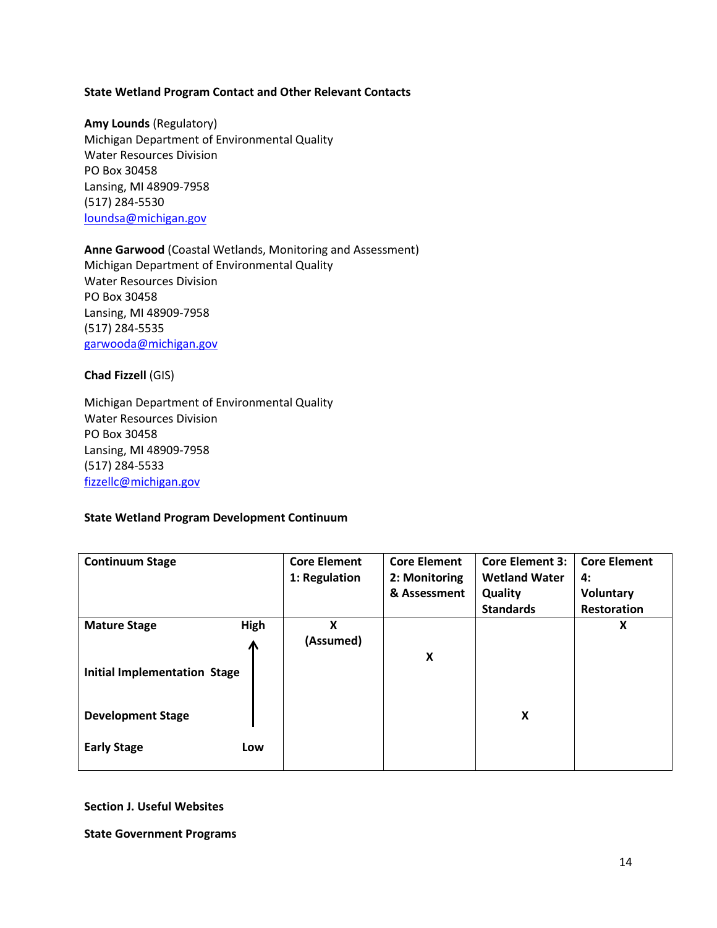#### **State Wetland Program Contact and Other Relevant Contacts**

**Amy Lounds** (Regulatory) Michigan Department of Environmental Quality Water Resources Division PO Box 30458 Lansing, MI 48909-7958 (517) 284-5530 [loundsa@michigan.gov](mailto:loundsa@michigan.gov)

## **Anne Garwood** (Coastal Wetlands, Monitoring and Assessment) Michigan Department of Environmental Quality Water Resources Division PO Box 30458 Lansing, MI 48909-7958 (517) 284-5535 [garwooda@michigan.gov](mailto:garwooda@michigan.gov)

#### **Chad Fizzell** (GIS)

Michigan Department of Environmental Quality Water Resources Division PO Box 30458 Lansing, MI 48909-7958 (517) 284-5533 [fizzellc@michigan.gov](mailto:fizzellc@michigan.gov)

### **State Wetland Program Development Continuum**

| <b>Continuum Stage</b>                                                                 |           | <b>Core Element</b><br>1: Regulation | <b>Core Element</b><br>2: Monitoring<br>& Assessment | <b>Core Element 3:</b><br><b>Wetland Water</b><br>Quality<br><b>Standards</b> | <b>Core Element</b><br>4:<br>Voluntary<br><b>Restoration</b> |
|----------------------------------------------------------------------------------------|-----------|--------------------------------------|------------------------------------------------------|-------------------------------------------------------------------------------|--------------------------------------------------------------|
| <b>Mature Stage</b><br><b>Initial Implementation Stage</b><br><b>Development Stage</b> | High<br>⋀ | Χ<br>(Assumed)                       | X                                                    | X                                                                             | X                                                            |
| <b>Early Stage</b>                                                                     | Low       |                                      |                                                      |                                                                               |                                                              |

**Section J. Useful Websites**

**State Government Programs**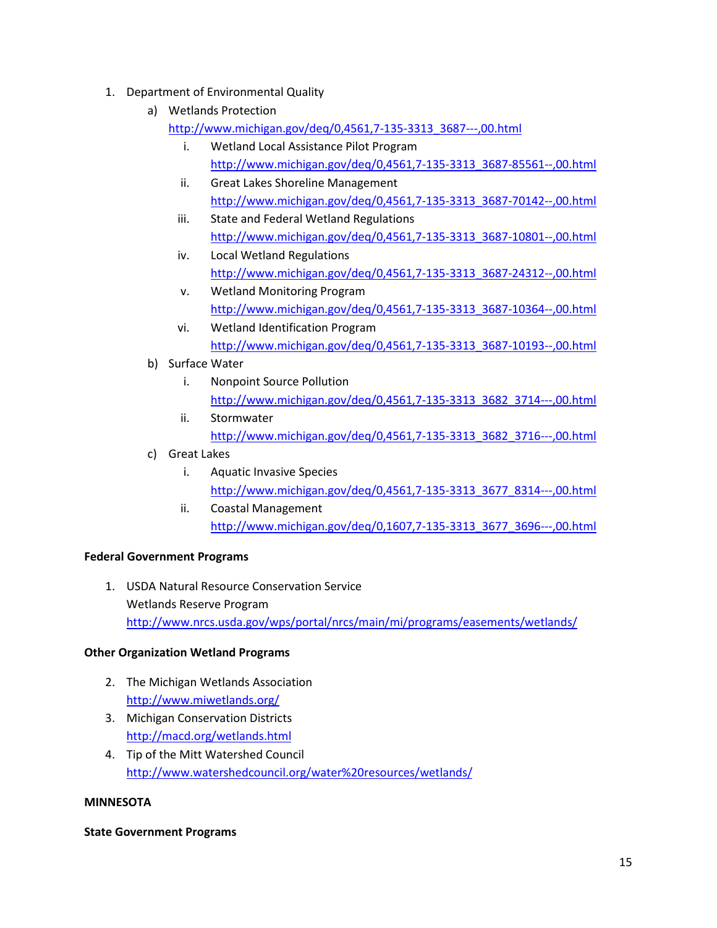# 1. Department of Environmental Quality

- a) Wetlands Protection
	- [http://www.michigan.gov/deq/0,4561,7-135-3313\\_3687---,00.html](http://www.michigan.gov/deq/0,4561,7-135-3313_3687---,00.html)
		- i. Wetland Local Assistance Pilot Program [http://www.michigan.gov/deq/0,4561,7-135-3313\\_3687-85561--,00.html](http://www.michigan.gov/deq/0,4561,7-135-3313_3687-85561--,00.html)
		- ii. Great Lakes Shoreline Management [http://www.michigan.gov/deq/0,4561,7-135-3313\\_3687-70142--,00.html](http://www.michigan.gov/deq/0,4561,7-135-3313_3687-70142--,00.html)
		- iii. State and Federal Wetland Regulations [http://www.michigan.gov/deq/0,4561,7-135-3313\\_3687-10801--,00.html](http://www.michigan.gov/deq/0,4561,7-135-3313_3687-10801--,00.html)
		- iv. Local Wetland Regulations [http://www.michigan.gov/deq/0,4561,7-135-3313\\_3687-24312--,00.html](http://www.michigan.gov/deq/0,4561,7-135-3313_3687-24312--,00.html)
		- v. Wetland Monitoring Program [http://www.michigan.gov/deq/0,4561,7-135-3313\\_3687-10364--,00.html](http://www.michigan.gov/deq/0,4561,7-135-3313_3687-10364--,00.html)
		- vi. Wetland Identification Program [http://www.michigan.gov/deq/0,4561,7-135-3313\\_3687-10193--,00.html](http://www.michigan.gov/deq/0,4561,7-135-3313_3687-10193--,00.html)
- b) Surface Water
	- i. Nonpoint Source Pollution [http://www.michigan.gov/deq/0,4561,7-135-3313\\_3682\\_3714---,00.html](http://www.michigan.gov/deq/0,4561,7-135-3313_3682_3714---,00.html)
	- ii. Stormwater [http://www.michigan.gov/deq/0,4561,7-135-3313\\_3682\\_3716---,00.html](http://www.michigan.gov/deq/0,4561,7-135-3313_3682_3716---,00.html)
- c) Great Lakes
	- i. Aquatic Invasive Species [http://www.michigan.gov/deq/0,4561,7-135-3313\\_3677\\_8314---,00.html](http://www.michigan.gov/deq/0,4561,7-135-3313_3677_8314---,00.html)
	- ii. Coastal Management [http://www.michigan.gov/deq/0,1607,7-135-3313\\_3677\\_3696---,00.html](http://www.michigan.gov/deq/0,1607,7-135-3313_3677_3696---,00.html)

## **Federal Government Programs**

1. USDA Natural Resource Conservation Service Wetlands Reserve Program <http://www.nrcs.usda.gov/wps/portal/nrcs/main/mi/programs/easements/wetlands/>

## **Other Organization Wetland Programs**

- 2. The Michigan Wetlands Association <http://www.miwetlands.org/>
- 3. Michigan Conservation Districts <http://macd.org/wetlands.html>
- 4. Tip of the Mitt Watershed Council <http://www.watershedcouncil.org/water%20resources/wetlands/>

## **MINNESOTA**

### **State Government Programs**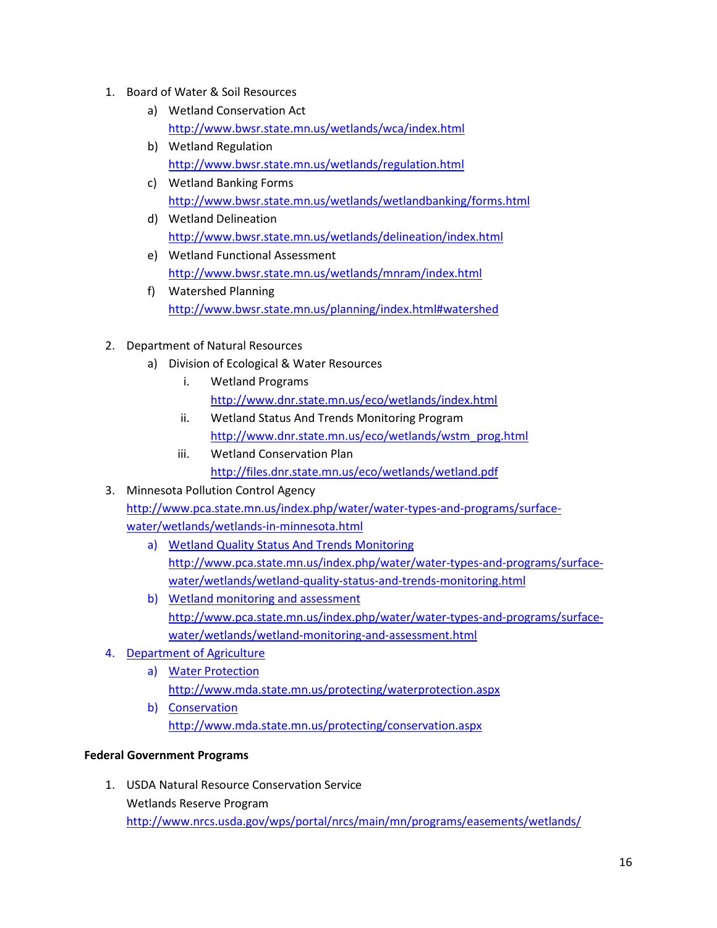- 1. Board of Water & Soil Resources
	- a) Wetland Conservation Act <http://www.bwsr.state.mn.us/wetlands/wca/index.html>
	- b) Wetland Regulation <http://www.bwsr.state.mn.us/wetlands/regulation.html>
	- c) Wetland Banking Forms <http://www.bwsr.state.mn.us/wetlands/wetlandbanking/forms.html>
	- d) Wetland Delineation <http://www.bwsr.state.mn.us/wetlands/delineation/index.html>
	- e) Wetland Functional Assessment <http://www.bwsr.state.mn.us/wetlands/mnram/index.html>
	- f) Watershed Planning <http://www.bwsr.state.mn.us/planning/index.html#watershed>
- 2. Department of Natural Resources
	- a) Division of Ecological & Water Resources
		- i. Wetland Programs <http://www.dnr.state.mn.us/eco/wetlands/index.html>
		- ii. Wetland Status And Trends Monitoring Program [http://www.dnr.state.mn.us/eco/wetlands/wstm\\_prog.html](http://www.dnr.state.mn.us/eco/wetlands/wstm_prog.html)
		- iii. Wetland Conservation Plan <http://files.dnr.state.mn.us/eco/wetlands/wetland.pdf>
- 3. Minnesota Pollution Control Agency [http://www.pca.state.mn.us/index.php/water/water-types-and-programs/surface](http://www.pca.state.mn.us/index.php/water/water-types-and-programs/surface-water/wetlands/wetlands-in-minnesota.html)[water/wetlands/wetlands-in-minnesota.html](http://www.pca.state.mn.us/index.php/water/water-types-and-programs/surface-water/wetlands/wetlands-in-minnesota.html)
	- a) Wetland Quality Status And Trends Monitoring [http://www.pca.state.mn.us/index.php/water/water-types-and-programs/surface](http://www.pca.state.mn.us/index.php/water/water-types-and-programs/surface-water/wetlands/wetland-quality-status-and-trends-monitoring.html)[water/wetlands/wetland-quality-status-and-trends-monitoring.html](http://www.pca.state.mn.us/index.php/water/water-types-and-programs/surface-water/wetlands/wetland-quality-status-and-trends-monitoring.html)
	- b) Wetland monitoring and assessment [http://www.pca.state.mn.us/index.php/water/water-types-and-programs/surface](http://www.pca.state.mn.us/index.php/water/water-types-and-programs/surface-water/wetlands/wetland-monitoring-and-assessment.html)[water/wetlands/wetland-monitoring-and-assessment.html](http://www.pca.state.mn.us/index.php/water/water-types-and-programs/surface-water/wetlands/wetland-monitoring-and-assessment.html)
- 4. Department of Agriculture
	- a) Water Protection <http://www.mda.state.mn.us/protecting/waterprotection.aspx>
	- b) Conservation <http://www.mda.state.mn.us/protecting/conservation.aspx>

## **Federal Government Programs**

1. USDA Natural Resource Conservation Service Wetlands Reserve Program <http://www.nrcs.usda.gov/wps/portal/nrcs/main/mn/programs/easements/wetlands/>